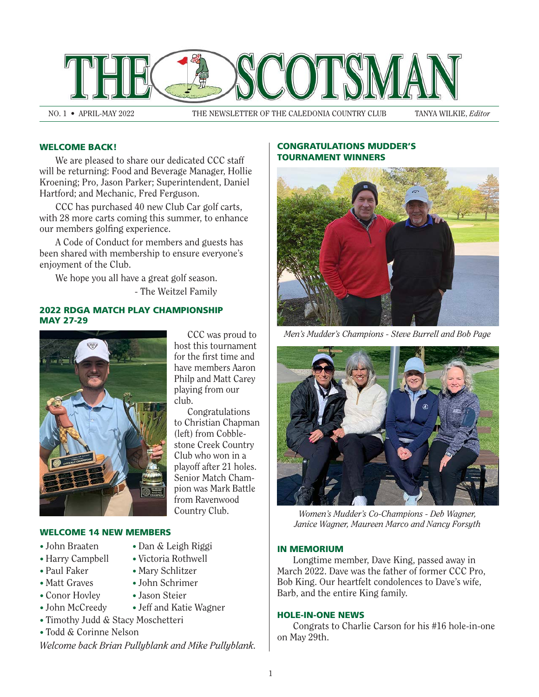

NO. 1 • APRIL-MAY 2022 THE NEWSLETTER OF THE CALEDONIA COUNTRY CLUB TANYA WILKIE, *Editor*

# WELCOME BACK!

We are pleased to share our dedicated CCC staff will be returning: Food and Beverage Manager, Hollie Kroening; Pro, Jason Parker; Superintendent, Daniel Hartford; and Mechanic, Fred Ferguson.

CCC has purchased 40 new Club Car golf carts, with 28 more carts coming this summer, to enhance our members golfing experience.

A Code of Conduct for members and guests has been shared with membership to ensure everyone's enjoyment of the Club.

We hope you all have a great golf season.

- The Weitzel Family

## 2022 RDGA MATCH PLAY CHAMPIONSHIP MAY 27-29



CCC was proud to host this tournament for the first time and have members Aaron Philp and Matt Carey playing from our club.

Congratulations to Christian Chapman (left) from Cobblestone Creek Country Club who won in a playoff after 21 holes. Senior Match Champion was Mark Battle from Ravenwood Country Club.

### WELCOME 14 NEW MEMBERS

- John Braaten
- Harry Campbell
- Paul Faker
- Matt Graves
- Conor Hovley
- John McCreedy
- Timothy Judd & Stacy Moschetteri
- Todd & Corinne Nelson

*Welcome back Brian Pullyblank and Mike Pullyblank.*

• Dan & Leigh Riggi • Victoria Rothwell • Mary Schlitzer • John Schrimer • Jason Steier

• Jeff and Katie Wagner

### CONGRATULATIONS MUDDER'S TOURNAMENT WINNERS



*Men's Mudder's Champions - Steve Burrell and Bob Page*



*Women's Mudder's Co-Champions - Deb Wagner, Janice Wagner, Maureen Marco and Nancy Forsyth*

#### IN MEMORIUM

 Longtime member, Dave King, passed away in March 2022. Dave was the father of former CCC Pro, Bob King. Our heartfelt condolences to Dave's wife, Barb, and the entire King family.

## HOLE-IN-ONE NEWS

 Congrats to Charlie Carson for his #16 hole-in-one on May 29th.